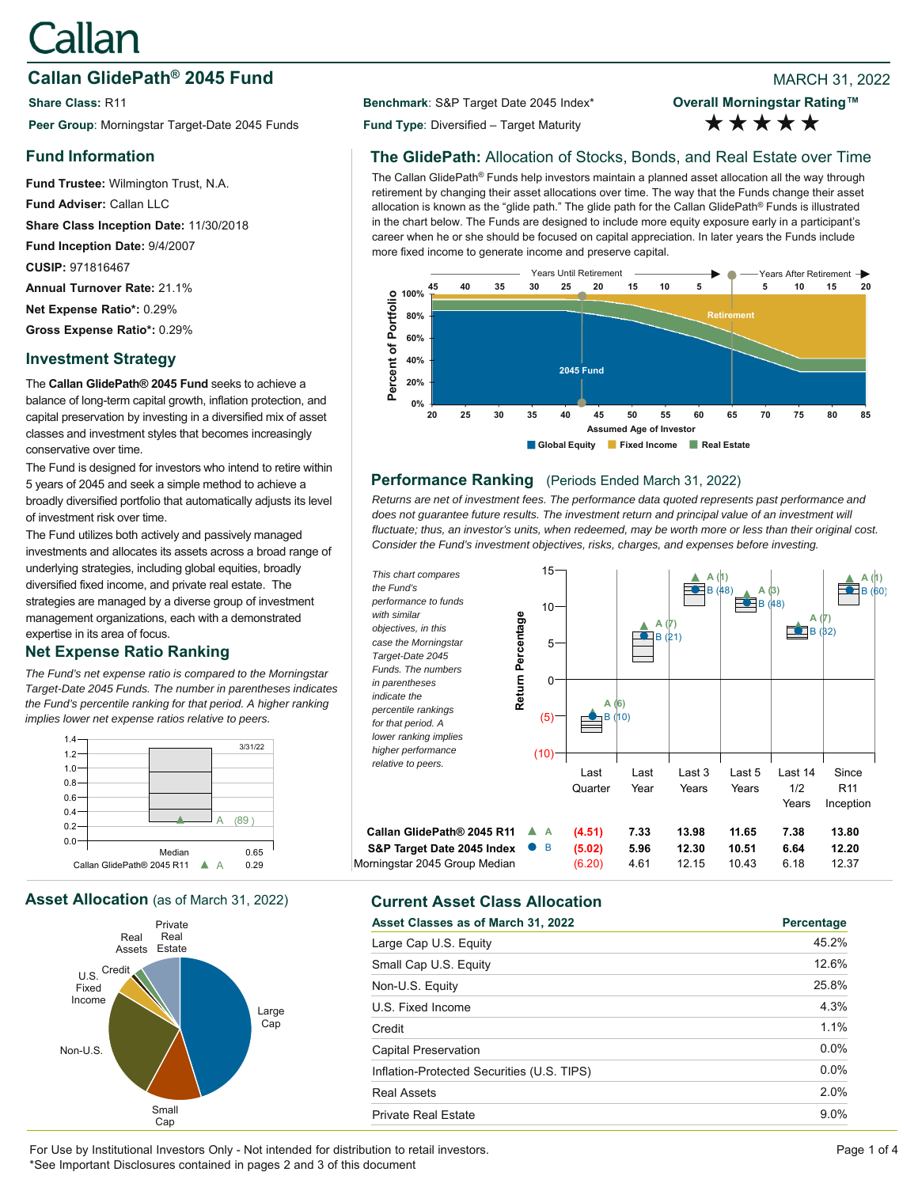# Callan

# **Callan GlidePath<sup>®</sup> 2045 Fund Branch 2001 12022 80 AMARCH 31, 2022**

**Share Class: R11 Benchmark: S&P Target Date 2045 Index\* Peer Group**: Morningstar Target-Date 2045 Funds **Fund Type**: Diversified – Target Maturity

# **Fund Information**

**Fund Trustee:** Wilmington Trust, N.A. **Fund Adviser:** Callan LLC **Share Class Inception Date:** 11/30/2018 **Fund Inception Date:** 9/4/2007 **CUSIP:** 971816467 **Annual Turnover Rate:** 21.1% **Net Expense Ratio\*:** 0.29% **Gross Expense Ratio\*:** 0.29%

# **Investment Strategy**

The **Callan GlidePath® 2045 Fund** seeks to achieve a balance of long-term capital growth, inflation protection, and capital preservation by investing in a diversified mix of asset classes and investment styles that becomes increasingly conservative over time.

The Fund is designed for investors who intend to retire within 5 years of 2045 and seek a simple method to achieve a broadly diversified portfolio that automatically adjusts its level of investment risk over time.

The Fund utilizes both actively and passively managed investments and allocates its assets across a broad range of underlying strategies, including global equities, broadly diversified fixed income, and private real estate. The strategies are managed by a diverse group of investment management organizations, each with a demonstrated expertise in its area of focus.

# **Net Expense Ratio Ranking**

*The Fund's net expense ratio is compared to the Morningstar Target-Date 2045 Funds. The number in parentheses indicates the Fund's percentile ranking for that period. A higher ranking implies lower net expense ratios relative to peers.*



**Asset Allocation** (as of March 31, 2022) **Current Asset Class Allocation**



**Overall Morningstar Rating™** \*\*\*\*\*

# **The GlidePath:** Allocation of Stocks, Bonds, and Real Estate over Time

The Callan GlidePath® Funds help investors maintain a planned asset allocation all the way through retirement by changing their asset allocations over time. The way that the Funds change their asset allocation is known as the "glide path." The glide path for the Callan GlidePath® Funds is illustrated in the chart below. The Funds are designed to include more equity exposure early in a participant's career when he or she should be focused on capital appreciation. In later years the Funds include more fixed income to generate income and preserve capital.



# **Performance Ranking** (Periods Ended March 31, 2022)

*Returns are net of investment fees. The performance data quoted represents past performance and*  does not quarantee future results. The investment return and principal value of an investment will *fluctuate; thus, an investor's units, when redeemed, may be worth more or less than their original cost. Consider the Fund's investment objectives, risks, charges, and expenses before investing.*



| Asset Classes as of March 31, 2022         | Percentage |
|--------------------------------------------|------------|
| Large Cap U.S. Equity                      | 45.2%      |
| Small Cap U.S. Equity                      | 12.6%      |
| Non-U.S. Equity                            | 25.8%      |
| U.S. Fixed Income                          | 4.3%       |
| Credit                                     | 1.1%       |
| Capital Preservation                       | $0.0\%$    |
| Inflation-Protected Securities (U.S. TIPS) | $0.0\%$    |
| <b>Real Assets</b>                         | 2.0%       |
| <b>Private Real Estate</b>                 | $9.0\%$    |

For Use by Institutional Investors Only - Not intended for distribution to retail investors. Page 1 of 4 \*See Important Disclosures contained in pages 2 and 3 of this document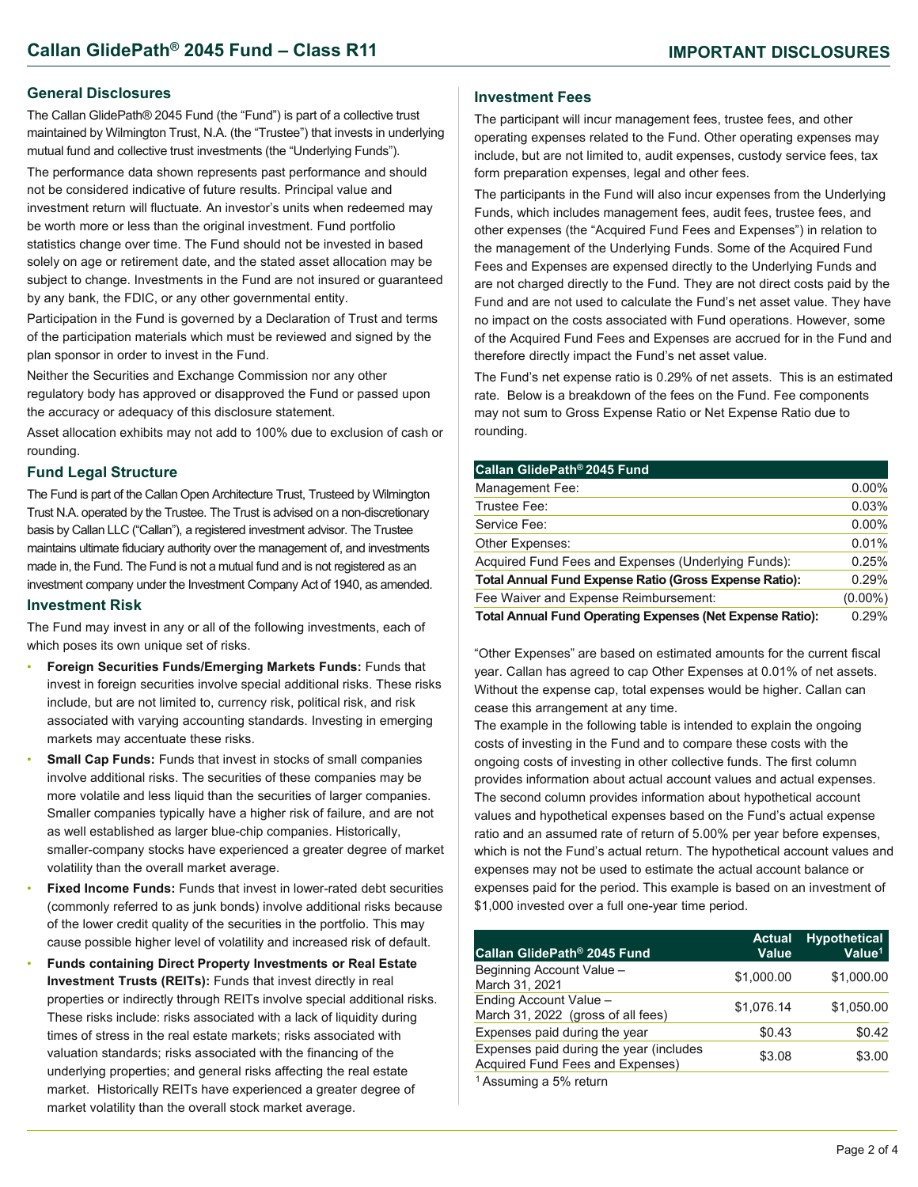#### **General Disclosures**

The Callan GlidePath® 2045 Fund (the "Fund") is part of a collective trust maintained by Wilmington Trust, N.A. (the "Trustee") that invests in underlying mutual fund and collective trust investments (the "Underlying Funds").

The performance data shown represents past performance and should not be considered indicative of future results. Principal value and investment return will fluctuate. An investor's units when redeemed may be worth more or less than the original investment. Fund portfolio statistics change over time. The Fund should not be invested in based solely on age or retirement date, and the stated asset allocation may be subject to change. Investments in the Fund are not insured or guaranteed by any bank, the FDIC, or any other governmental entity.

Participation in the Fund is governed by a Declaration of Trust and terms of the participation materials which must be reviewed and signed by the plan sponsor in order to invest in the Fund.

Neither the Securities and Exchange Commission nor any other regulatory body has approved or disapproved the Fund or passed upon the accuracy or adequacy of this disclosure statement.

Asset allocation exhibits may not add to 100% due to exclusion of cash or rounding.

#### **Fund Legal Structure**

The Fund is part of the Callan Open Architecture Trust, Trusteed by Wilmington Trust N.A. operated by the Trustee. The Trust is advised on a non-discretionary basis by Callan LLC ("Callan"), a registered investment advisor. The Trustee maintains ultimate fiduciary authority over the management of, and investments made in, the Fund. The Fund is not a mutual fund and is not registered as an investment company under the Investment Company Act of 1940, as amended.

#### **Investment Risk**

The Fund may invest in any or all of the following investments, each of which poses its own unique set of risks.

- **Foreign Securities Funds/Emerging Markets Funds:** Funds that invest in foreign securities involve special additional risks. These risks include, but are not limited to, currency risk, political risk, and risk associated with varying accounting standards. Investing in emerging markets may accentuate these risks.
- **Small Cap Funds: Funds that invest in stocks of small companies** involve additional risks. The securities of these companies may be more volatile and less liquid than the securities of larger companies. Smaller companies typically have a higher risk of failure, and are not as well established as larger blue-chip companies. Historically, smaller-company stocks have experienced a greater degree of market volatility than the overall market average.
- **Fixed Income Funds:** Funds that invest in lower-rated debt securities (commonly referred to as junk bonds) involve additional risks because of the lower credit quality of the securities in the portfolio. This may cause possible higher level of volatility and increased risk of default.
- **Funds containing Direct Property Investments or Real Estate Investment Trusts (REITs):** Funds that invest directly in real properties or indirectly through REITs involve special additional risks. These risks include: risks associated with a lack of liquidity during times of stress in the real estate markets; risks associated with valuation standards; risks associated with the financing of the underlying properties; and general risks affecting the real estate market. Historically REITs have experienced a greater degree of market volatility than the overall stock market average.

### **Investment Fees**

The participant will incur management fees, trustee fees, and other operating expenses related to the Fund. Other operating expenses may include, but are not limited to, audit expenses, custody service fees, tax form preparation expenses, legal and other fees.

The participants in the Fund will also incur expenses from the Underlying Funds, which includes management fees, audit fees, trustee fees, and other expenses (the "Acquired Fund Fees and Expenses") in relation to the management of the Underlying Funds. Some of the Acquired Fund Fees and Expenses are expensed directly to the Underlying Funds and are not charged directly to the Fund. They are not direct costs paid by the Fund and are not used to calculate the Fund's net asset value. They have no impact on the costs associated with Fund operations. However, some of the Acquired Fund Fees and Expenses are accrued for in the Fund and therefore directly impact the Fund's net asset value.

The Fund's net expense ratio is 0.29% of net assets. This is an estimated rate. Below is a breakdown of the fees on the Fund. Fee components may not sum to Gross Expense Ratio or Net Expense Ratio due to rounding.

| Callan GlidePath <sup>®</sup> 2045 Fund                          |            |
|------------------------------------------------------------------|------------|
| Management Fee:                                                  | $0.00\%$   |
| Trustee Fee:                                                     | 0.03%      |
| Service Fee:                                                     | $0.00\%$   |
| Other Expenses:                                                  | 0.01%      |
| Acquired Fund Fees and Expenses (Underlying Funds):              | 0.25%      |
| <b>Total Annual Fund Expense Ratio (Gross Expense Ratio):</b>    | 0.29%      |
| Fee Waiver and Expense Reimbursement:                            | $(0.00\%)$ |
| <b>Total Annual Fund Operating Expenses (Net Expense Ratio):</b> | 0.29%      |

"Other Expenses" are based on estimated amounts for the current fiscal year. Callan has agreed to cap Other Expenses at 0.01% of net assets. Without the expense cap, total expenses would be higher. Callan can cease this arrangement at any time.

The example in the following table is intended to explain the ongoing costs of investing in the Fund and to compare these costs with the ongoing costs of investing in other collective funds. The first column provides information about actual account values and actual expenses. The second column provides information about hypothetical account values and hypothetical expenses based on the Fund's actual expense ratio and an assumed rate of return of 5.00% per year before expenses, which is not the Fund's actual return. The hypothetical account values and expenses may not be used to estimate the actual account balance or expenses paid for the period. This example is based on an investment of \$1,000 invested over a full one-year time period.

| Callan GlidePath® 2045 Fund                                                 | <b>Actual</b><br>Value | <b>Hypothetical</b><br>Value <sup>1</sup> |
|-----------------------------------------------------------------------------|------------------------|-------------------------------------------|
| Beginning Account Value -<br>March 31, 2021                                 | \$1,000.00             | \$1,000.00                                |
| Ending Account Value -<br>March 31, 2022 (gross of all fees)                | \$1,076.14             | \$1.050.00                                |
| Expenses paid during the year                                               | \$0.43                 | \$0.42                                    |
| Expenses paid during the year (includes<br>Acquired Fund Fees and Expenses) | \$3.08                 | \$3.00                                    |
| <sup>1</sup> Assuming a 5% return                                           |                        |                                           |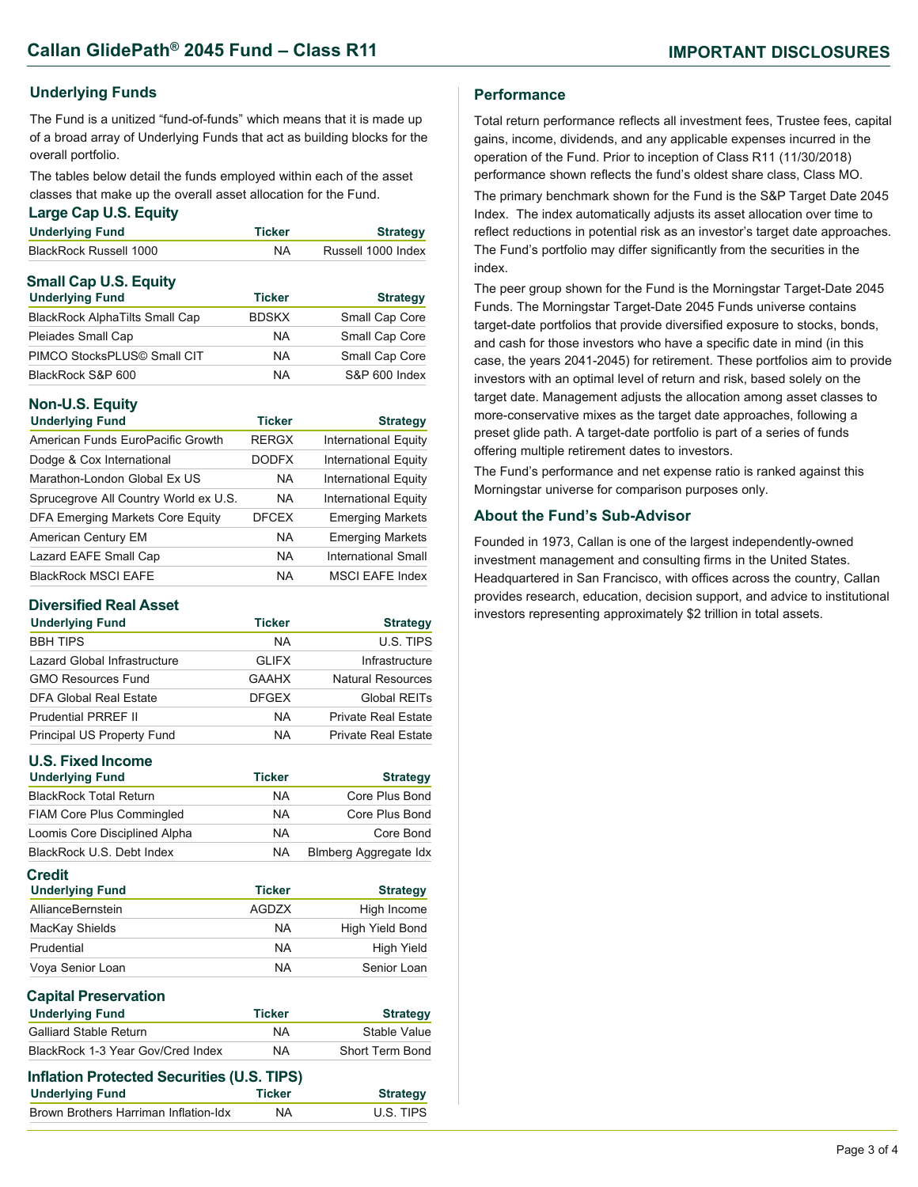# **Underlying Funds**

The Fund is a unitized "fund-of-funds" which means that it is made up of a broad array of Underlying Funds that act as building blocks for the overall portfolio.

The tables below detail the funds employed within each of the asset classes that make up the overall asset allocation for the Fund.

#### **Large Cap U.S. Equity**

| <b>Underlying Fund</b>       | <b>Ticker</b> | <b>Strategy</b>    |
|------------------------------|---------------|--------------------|
| BlackRock Russell 1000       | <b>NA</b>     | Russell 1000 Index |
| <b>Small Cap U.S. Equity</b> |               |                    |

| <b>Underlying Fund</b>                | <b>Ticker</b> | <b>Strategy</b> |
|---------------------------------------|---------------|-----------------|
| <b>BlackRock AlphaTilts Small Cap</b> | <b>BDSKX</b>  | Small Cap Core  |
| Pleiades Small Cap                    | <b>NA</b>     | Small Cap Core  |
| PIMCO StocksPLUS© Small CIT           | <b>NA</b>     | Small Cap Core  |
| BlackRock S&P 600                     | <b>NA</b>     | S&P 600 Index   |

# **Non-U.S. Equity**

| <b>Underlying Fund</b>                  | <b>Ticker</b> | <b>Strategy</b>             |
|-----------------------------------------|---------------|-----------------------------|
| American Funds EuroPacific Growth       | <b>RERGX</b>  | <b>International Equity</b> |
| Dodge & Cox International               | <b>DODFX</b>  | <b>International Equity</b> |
| Marathon-London Global Ex US            | <b>NA</b>     | <b>International Equity</b> |
| Sprucegrove All Country World ex U.S.   | <b>NA</b>     | <b>International Equity</b> |
| <b>DFA Emerging Markets Core Equity</b> | <b>DFCEX</b>  | <b>Emerging Markets</b>     |
| American Century EM                     | <b>NA</b>     | <b>Emerging Markets</b>     |
| Lazard EAFE Small Cap                   | <b>NA</b>     | International Small         |
| <b>BlackRock MSCI EAFE</b>              | NA            | <b>MSCI EAFE Index</b>      |

### **Diversified Real Asset**

| <b>Underlying Fund</b>       | <b>Ticker</b> | <b>Strategy</b>            |
|------------------------------|---------------|----------------------------|
| <b>BBH TIPS</b>              | <b>NA</b>     | U.S. TIPS                  |
| Lazard Global Infrastructure | <b>GLIFX</b>  | Infrastructure             |
| <b>GMO Resources Fund</b>    | <b>GAAHX</b>  | Natural Resources          |
| DFA Global Real Estate       | <b>DFGEX</b>  | Global REITs               |
| <b>Prudential PRREF II</b>   | <b>NA</b>     | <b>Private Real Estate</b> |
| Principal US Property Fund   | <b>NA</b>     | <b>Private Real Estate</b> |

| <b>U.S. Fixed Income</b>                                             |               |                              |
|----------------------------------------------------------------------|---------------|------------------------------|
| <b>Underlying Fund</b>                                               | <b>Ticker</b> | <b>Strategy</b>              |
| <b>BlackRock Total Return</b>                                        | <b>NA</b>     | Core Plus Bond               |
| <b>FIAM Core Plus Commingled</b>                                     | <b>NA</b>     | Core Plus Bond               |
| Loomis Core Disciplined Alpha                                        | <b>NA</b>     | Core Bond                    |
| BlackRock U.S. Debt Index                                            | NA.           | <b>Blmberg Aggregate Idx</b> |
| <b>Credit</b><br><b>Underlying Fund</b>                              | <b>Ticker</b> | <b>Strategy</b>              |
| AllianceBernstein                                                    | <b>AGDZX</b>  | High Income                  |
| MacKay Shields                                                       | NA.           | High Yield Bond              |
| Prudential                                                           | NA.           | High Yield                   |
| Voya Senior Loan                                                     | NA.           | Senior Loan                  |
| <b>Capital Preservation</b>                                          |               |                              |
| <b>Underlying Fund</b>                                               | <b>Ticker</b> | <b>Strategy</b>              |
| <b>Galliard Stable Return</b>                                        | <b>NA</b>     | Stable Value                 |
| BlackRock 1-3 Year Gov/Cred Index                                    | <b>NA</b>     | Short Term Bond              |
| Inflation Protected Securities (U.S. TIPS)<br><b>Underlying Fund</b> | <b>Ticker</b> | <b>Strategy</b>              |

Brown Brothers Harriman Inflation-Idx NA U.S. TIPS

### **Performance**

Total return performance reflects all investment fees, Trustee fees, capital gains, income, dividends, and any applicable expenses incurred in the operation of the Fund. Prior to inception of Class R11 (11/30/2018) performance shown reflects the fund's oldest share class, Class MO. The primary benchmark shown for the Fund is the S&P Target Date 2045 Index. The index automatically adjusts its asset allocation over time to reflect reductions in potential risk as an investor's target date approaches. The Fund's portfolio may differ significantly from the securities in the index.

The peer group shown for the Fund is the Morningstar Target-Date 2045 Funds. The Morningstar Target-Date 2045 Funds universe contains target-date portfolios that provide diversified exposure to stocks, bonds, and cash for those investors who have a specific date in mind (in this case, the years 2041-2045) for retirement. These portfolios aim to provide investors with an optimal level of return and risk, based solely on the target date. Management adjusts the allocation among asset classes to more-conservative mixes as the target date approaches, following a preset glide path. A target-date portfolio is part of a series of funds offering multiple retirement dates to investors.

The Fund's performance and net expense ratio is ranked against this Morningstar universe for comparison purposes only.

### **About the Fund's Sub-Advisor**

Founded in 1973, Callan is one of the largest independently-owned investment management and consulting firms in the United States. Headquartered in San Francisco, with offices across the country, Callan provides research, education, decision support, and advice to institutional investors representing approximately \$2 trillion in total assets.